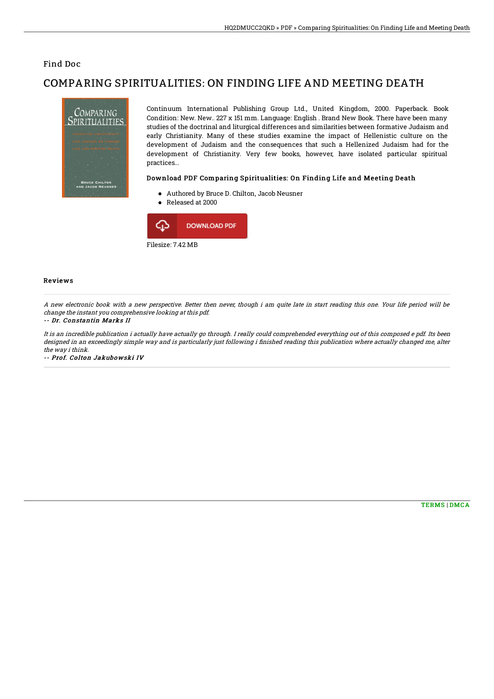### Find Doc

# COMPARING SPIRITUALITIES: ON FINDING LIFE AND MEETING DEATH



Continuum International Publishing Group Ltd., United Kingdom, 2000. Paperback. Book Condition: New. New.. 227 x 151 mm. Language: English . Brand New Book. There have been many studies of the doctrinal and liturgical differences and similarities between formative Judaism and early Christianity. Many of these studies examine the impact of Hellenistic culture on the development of Judaism and the consequences that such a Hellenized Judaism had for the development of Christianity. Very few books, however, have isolated particular spiritual practices...

### Download PDF Comparing Spiritualities: On Finding Life and Meeting Death

- Authored by Bruce D. Chilton, Jacob Neusner
- Released at 2000



#### **Reviews**

A new electronic book with <sup>a</sup> new perspective. Better then never, though i am quite late in start reading this one. Your life period will be change the instant you comprehensive looking at this pdf.

#### -- Dr. Constantin Marks II

It is an incredible publication i actually have actually go through. I really could comprehended everything out of this composed <sup>e</sup> pdf. Its been designed in an exceedingly simple way and is particularly just following i finished reading this publication where actually changed me, alter the way i think.

-- Prof. Colton Jakubowski IV